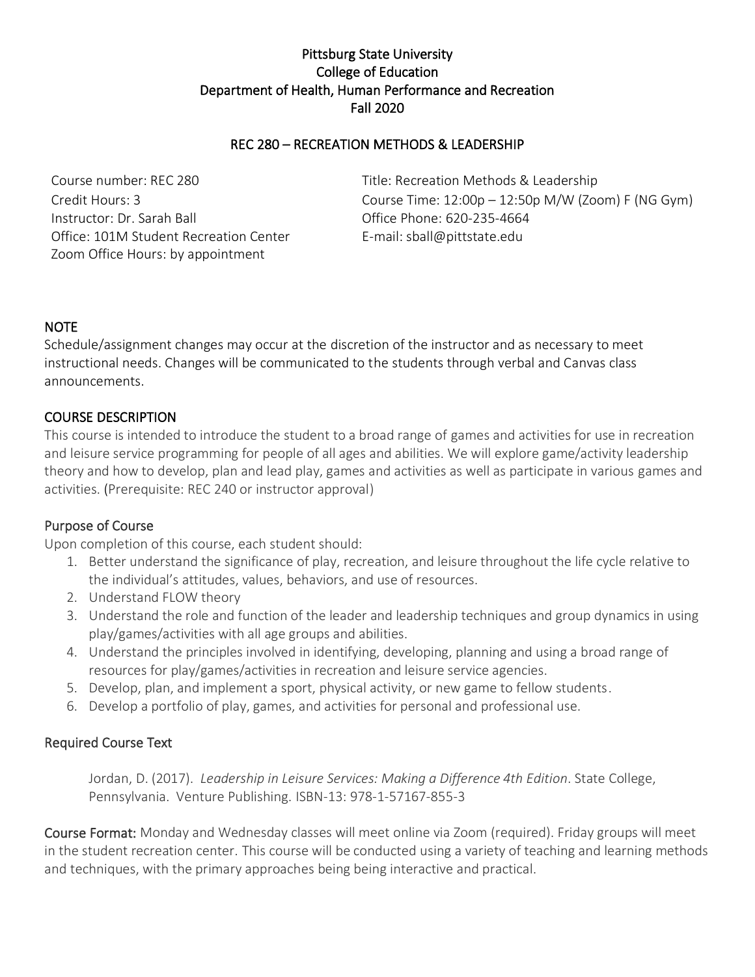# Pittsburg State University College of Education Department of Health, Human Performance and Recreation Fall 2020

# REC 280 – RECREATION METHODS & LEADERSHIP

Course number: REC 280 Title: Recreation Methods & Leadership Instructor: Dr. Sarah Ball **Instructor: Dr. Sarah Ball** Office Phone: 620-235-4664 Office: 101M Student Recreation Center E-mail: sball@pittstate.edu Zoom Office Hours: by appointment

Credit Hours: 3 Course Time: 12:00p – 12:50p M/W (Zoom) F (NG Gym)

#### NOTE

Schedule/assignment changes may occur at the discretion of the instructor and as necessary to meet instructional needs. Changes will be communicated to the students through verbal and Canvas class announcements.

#### COURSE DESCRIPTION

This course is intended to introduce the student to a broad range of games and activities for use in recreation and leisure service programming for people of all ages and abilities. We will explore game/activity leadership theory and how to develop, plan and lead play, games and activities as well as participate in various games and activities. (Prerequisite: REC 240 or instructor approval)

#### Purpose of Course

Upon completion of this course, each student should:

- 1. Better understand the significance of play, recreation, and leisure throughout the life cycle relative to the individual's attitudes, values, behaviors, and use of resources.
- 2. Understand FLOW theory
- 3. Understand the role and function of the leader and leadership techniques and group dynamics in using play/games/activities with all age groups and abilities.
- 4. Understand the principles involved in identifying, developing, planning and using a broad range of resources for play/games/activities in recreation and leisure service agencies.
- 5. Develop, plan, and implement a sport, physical activity, or new game to fellow students.
- 6. Develop a portfolio of play, games, and activities for personal and professional use.

#### Required Course Text

Jordan, D. (2017). *Leadership in Leisure Services: Making a Difference 4th Edition*. State College, Pennsylvania. Venture Publishing. ISBN-13: 978-1-57167-855-3

Course Format: Monday and Wednesday classes will meet online via Zoom (required). Friday groups will meet in the student recreation center. This course will be conducted using a variety of teaching and learning methods and techniques, with the primary approaches being being interactive and practical.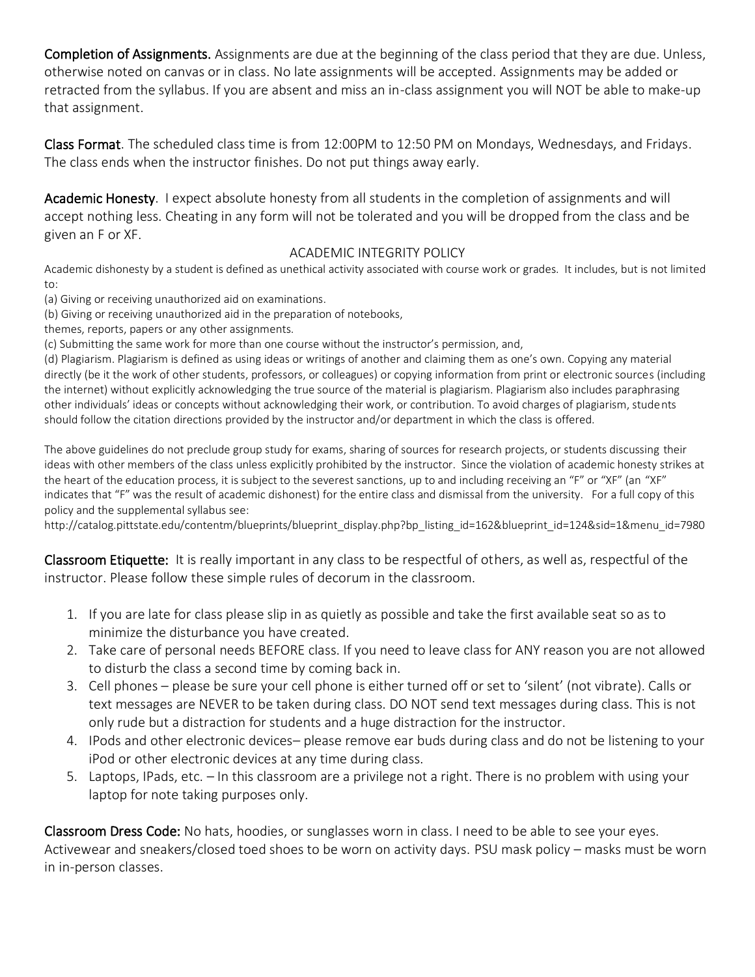Completion of Assignments. Assignments are due at the beginning of the class period that they are due. Unless, otherwise noted on canvas or in class. No late assignments will be accepted. Assignments may be added or retracted from the syllabus. If you are absent and miss an in-class assignment you will NOT be able to make-up that assignment.

Class Format. The scheduled class time is from 12:00PM to 12:50 PM on Mondays, Wednesdays, and Fridays. The class ends when the instructor finishes. Do not put things away early.

Academic Honesty. I expect absolute honesty from all students in the completion of assignments and will accept nothing less. Cheating in any form will not be tolerated and you will be dropped from the class and be given an F or XF.

### ACADEMIC INTEGRITY POLICY

Academic dishonesty by a student is defined as unethical activity associated with course work or grades. It includes, but is not limited to:

(a) Giving or receiving unauthorized aid on examinations.

(b) Giving or receiving unauthorized aid in the preparation of notebooks,

themes, reports, papers or any other assignments.

(c) Submitting the same work for more than one course without the instructor's permission, and,

(d) Plagiarism. Plagiarism is defined as using ideas or writings of another and claiming them as one's own. Copying any material directly (be it the work of other students, professors, or colleagues) or copying information from print or electronic sources (including the internet) without explicitly acknowledging the true source of the material is plagiarism. Plagiarism also includes paraphrasing other individuals' ideas or concepts without acknowledging their work, or contribution. To avoid charges of plagiarism, students should follow the citation directions provided by the instructor and/or department in which the class is offered.

The above guidelines do not preclude group study for exams, sharing of sources for research projects, or students discussing their ideas with other members of the class unless explicitly prohibited by the instructor. Since the violation of academic honesty strikes at the heart of the education process, it is subject to the severest sanctions, up to and including receiving an "F" or "XF" (an "XF" indicates that "F" was the result of academic dishonest) for the entire class and dismissal from the university. For a full copy of this policy and the supplemental syllabus see:

[http://catalog.pittstate.edu/contentm/blueprints/blueprint\\_display.php?bp\\_listing\\_id=162&blueprint\\_id=124&sid=1&menu\\_id=7980](http://catalog.pittstate.edu/contentm/blueprints/blueprint_display.php?bp_listing_id=162&blueprint_id=124&sid=1&menu_id=7980)

Classroom Etiquette: It is really important in any class to be respectful of others, as well as, respectful of the instructor. Please follow these simple rules of decorum in the classroom.

- 1. If you are late for class please slip in as quietly as possible and take the first available seat so as to minimize the disturbance you have created.
- 2. Take care of personal needs BEFORE class. If you need to leave class for ANY reason you are not allowed to disturb the class a second time by coming back in.
- 3. Cell phones please be sure your cell phone is either turned off or set to 'silent' (not vibrate). Calls or text messages are NEVER to be taken during class. DO NOT send text messages during class. This is not only rude but a distraction for students and a huge distraction for the instructor.
- 4. IPods and other electronic devices– please remove ear buds during class and do not be listening to your iPod or other electronic devices at any time during class.
- 5. Laptops, IPads, etc. In this classroom are a privilege not a right. There is no problem with using your laptop for note taking purposes only.

Classroom Dress Code: No hats, hoodies, or sunglasses worn in class. I need to be able to see your eyes. Activewear and sneakers/closed toed shoes to be worn on activity days. PSU mask policy – masks must be worn in in-person classes.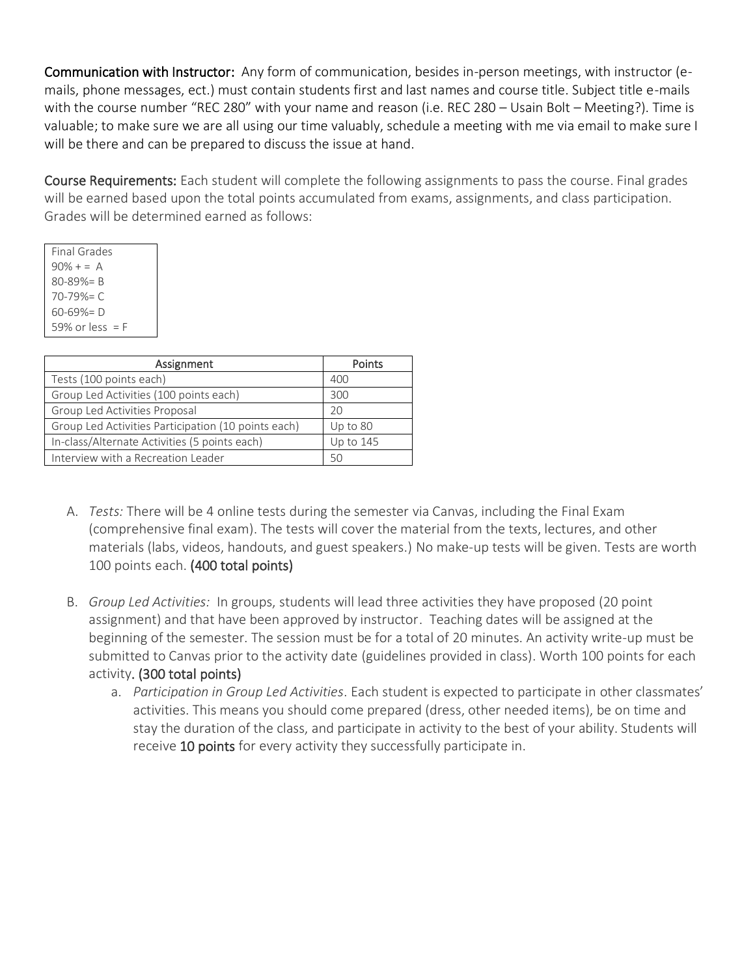Communication with Instructor: Any form of communication, besides in-person meetings, with instructor (emails, phone messages, ect.) must contain students first and last names and course title. Subject title e-mails with the course number "REC 280" with your name and reason (i.e. REC 280 – Usain Bolt – Meeting?). Time is valuable; to make sure we are all using our time valuably, schedule a meeting with me via email to make sure I will be there and can be prepared to discuss the issue at hand.

Course Requirements: Each student will complete the following assignments to pass the course. Final grades will be earned based upon the total points accumulated from exams, assignments, and class participation. Grades will be determined earned as follows:

| Final Grades      |  |
|-------------------|--|
| $90\% + 5 = A$    |  |
| $80 - 89\% = B$   |  |
| $70 - 79\% = C$   |  |
| 60-69%= D         |  |
| 59% or less $=$ F |  |

| Assignment                                          | Points    |
|-----------------------------------------------------|-----------|
| Tests (100 points each)                             | 400       |
| Group Led Activities (100 points each)              | 300       |
| Group Led Activities Proposal                       | 20        |
| Group Led Activities Participation (10 points each) | Up to 80  |
| In-class/Alternate Activities (5 points each)       | Up to 145 |
| Interview with a Recreation Leader                  | 50        |

- A. *Tests:* There will be 4 online tests during the semester via Canvas, including the Final Exam (comprehensive final exam). The tests will cover the material from the texts, lectures, and other materials (labs, videos, handouts, and guest speakers.) No make-up tests will be given. Tests are worth 100 points each. (400 total points)
- B. *Group Led Activities:* In groups, students will lead three activities they have proposed (20 point assignment) and that have been approved by instructor. Teaching dates will be assigned at the beginning of the semester. The session must be for a total of 20 minutes. An activity write-up must be submitted to Canvas prior to the activity date (guidelines provided in class). Worth 100 points for each activity. (300 total points)
	- a. *Participation in Group Led Activities*. Each student is expected to participate in other classmates' activities. This means you should come prepared (dress, other needed items), be on time and stay the duration of the class, and participate in activity to the best of your ability. Students will receive 10 points for every activity they successfully participate in.